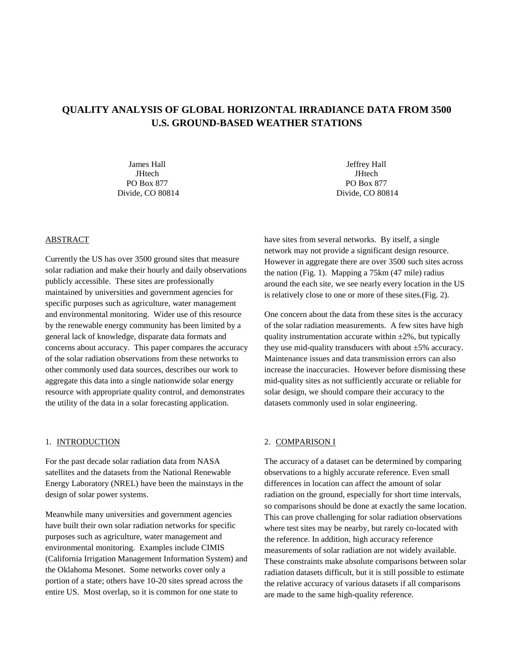# **QUALITY ANALYSIS OF GLOBAL HORIZONTAL IRRADIANCE DATA FROM 3500 U.S. GROUND-BASED WEATHER STATIONS**

James Hall **JHtech** PO Box 877 Divide, CO 80814

ABSTRACT

Currently the US has over 3500 ground sites that measure solar radiation and make their hourly and daily observations publicly accessible. These sites are professionally maintained by universities and government agencies for specific purposes such as agriculture, water management and environmental monitoring. Wider use of this resource by the renewable energy community has been limited by a general lack of knowledge, disparate data formats and concerns about accuracy. This paper compares the accuracy of the solar radiation observations from these networks to other commonly used data sources, describes our work to aggregate this data into a single nationwide solar energy resource with appropriate quality control, and demonstrates the utility of the data in a solar forecasting application.

#### 1. INTRODUCTION

For the past decade solar radiation data from NASA satellites and the datasets from the National Renewable Energy Laboratory (NREL) have been the mainstays in the design of solar power systems.

Meanwhile many universities and government agencies have built their own solar radiation networks for specific purposes such as agriculture, water management and environmental monitoring. Examples include CIMIS (California Irrigation Management Information System) and the Oklahoma Mesonet. Some networks cover only a portion of a state; others have 10-20 sites spread across the entire US. Most overlap, so it is common for one state to

Jeffrey Hall **JHtech** PO Box 877 Divide, CO 80814

have sites from several networks. By itself, a single network may not provide a significant design resource. However in aggregate there are over 3500 such sites across the nation (Fig. 1). Mapping a 75km (47 mile) radius around the each site, we see nearly every location in the US is relatively close to one or more of these sites.(Fig. 2).

One concern about the data from these sites is the accuracy of the solar radiation measurements. A few sites have high quality instrumentation accurate within  $\pm 2\%$ , but typically they use mid-quality transducers with about ±5% accuracy. Maintenance issues and data transmission errors can also increase the inaccuracies. However before dismissing these mid-quality sites as not sufficiently accurate or reliable for solar design, we should compare their accuracy to the datasets commonly used in solar engineering.

#### 2. COMPARISON I

The accuracy of a dataset can be determined by comparing observations to a highly accurate reference. Even small differences in location can affect the amount of solar radiation on the ground, especially for short time intervals, so comparisons should be done at exactly the same location. This can prove challenging for solar radiation observations where test sites may be nearby, but rarely co-located with the reference. In addition, high accuracy reference measurements of solar radiation are not widely available. These constraints make absolute comparisons between solar radiation datasets difficult, but it is still possible to estimate the relative accuracy of various datasets if all comparisons are made to the same high-quality reference.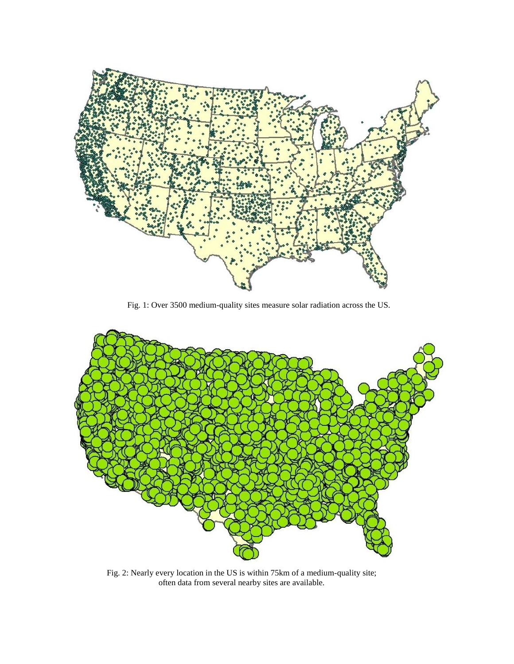

Fig. 1: Over 3500 medium-quality sites measure solar radiation across the US.



Fig. 2: Nearly every location in the US is within 75km of a medium-quality site; often data from several nearby sites are available.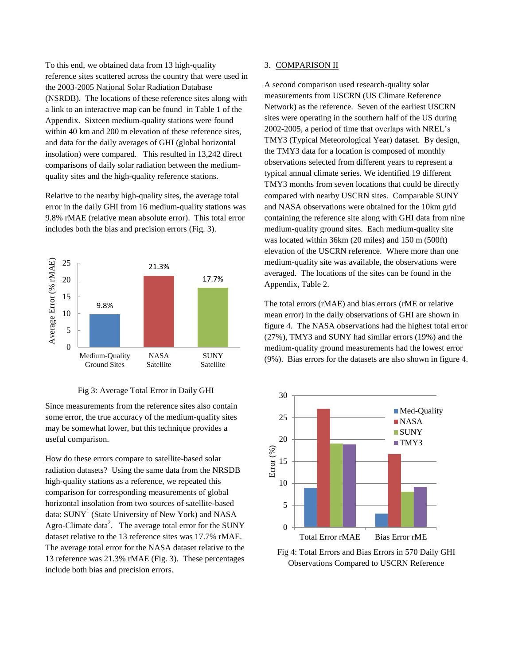To this end, we obtained data from 13 high-quality reference sites scattered across the country that were used in the 2003-2005 National Solar Radiation Database (NSRDB). The locations of these reference sites along with a link to an interactive map can be found in Table 1 of the Appendix. Sixteen medium-quality stations were found within 40 km and 200 m elevation of these reference sites, and data for the daily averages of GHI (global horizontal insolation) were compared. This resulted in 13,242 direct comparisons of daily solar radiation between the mediumquality sites and the high-quality reference stations.

Relative to the nearby high-quality sites, the average total error in the daily GHI from 16 medium-quality stations was 9.8% rMAE (relative mean absolute error). This total error includes both the bias and precision errors (Fig. 3).



### Fig 3: Average Total Error in Daily GHI

Since measurements from the reference sites also contain some error, the true accuracy of the medium-quality sites may be somewhat lower, but this technique provides a useful comparison.

How do these errors compare to satellite-based solar radiation datasets? Using the same data from the NRSDB high-quality stations as a reference, we repeated this comparison for corresponding measurements of global horizontal insolation from two sources of satellite-based data: SUNY<sup>1</sup> (State University of New York) and NASA Agro-Climate data<sup>2</sup>. The average total error for the SUNY dataset relative to the 13 reference sites was 17.7% rMAE. The average total error for the NASA dataset relative to the 13 reference was 21.3% rMAE (Fig. 3). These percentages include both bias and precision errors.

#### 3. COMPARISON II

A second comparison used research-quality solar measurements from USCRN (US Climate Reference Network) as the reference. Seven of the earliest USCRN sites were operating in the southern half of the US during 2002-2005, a period of time that overlaps with NREL's TMY3 (Typical Meteorological Year) dataset. By design, the TMY3 data for a location is composed of monthly observations selected from different years to represent a typical annual climate series. We identified 19 different TMY3 months from seven locations that could be directly compared with nearby USCRN sites. Comparable SUNY and NASA observations were obtained for the 10km grid containing the reference site along with GHI data from nine medium-quality ground sites. Each medium-quality site was located within 36km (20 miles) and 150 m (500ft) elevation of the USCRN reference. Where more than one medium-quality site was available, the observations were averaged. The locations of the sites can be found in the Appendix, Table 2.

The total errors (rMAE) and bias errors (rME or relative mean error) in the daily observations of GHI are shown in figure 4. The NASA observations had the highest total error (27%), TMY3 and SUNY had similar errors (19%) and the medium-quality ground measurements had the lowest error (9%). Bias errors for the datasets are also shown in figure 4.



Fig 4: Total Errors and Bias Errors in 570 Daily GHI Observations Compared to USCRN Reference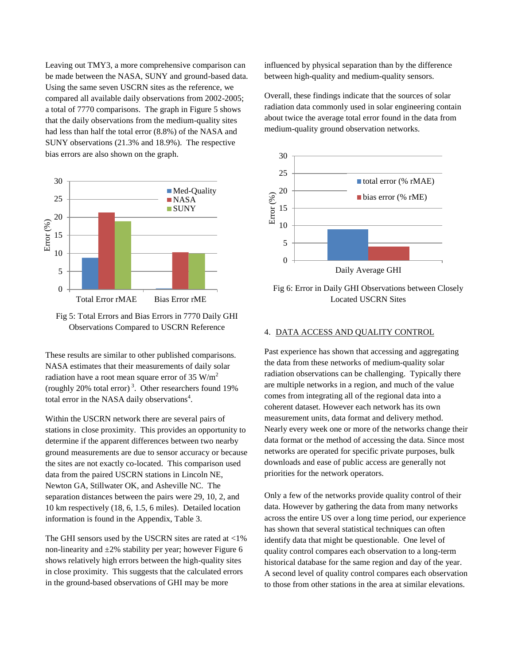Leaving out TMY3, a more comprehensive comparison can be made between the NASA, SUNY and ground-based data. Using the same seven USCRN sites as the reference, we compared all available daily observations from 2002-2005; a total of 7770 comparisons. The graph in Figure 5 shows that the daily observations from the medium-quality sites had less than half the total error (8.8%) of the NASA and SUNY observations (21.3% and 18.9%). The respective bias errors are also shown on the graph.



Fig 5: Total Errors and Bias Errors in 7770 Daily GHI Observations Compared to USCRN Reference

These results are similar to other published comparisons. NASA estimates that their measurements of daily solar radiation have a root mean square error of 35  $W/m<sup>2</sup>$ (roughly 20% total error)<sup>3</sup>. Other researchers found  $19\%$ total error in the NASA daily observations<sup>4</sup>.

Within the USCRN network there are several pairs of stations in close proximity. This provides an opportunity to determine if the apparent differences between two nearby ground measurements are due to sensor accuracy or because the sites are not exactly co-located. This comparison used data from the paired USCRN stations in Lincoln NE, Newton GA, Stillwater OK, and Asheville NC. The separation distances between the pairs were 29, 10, 2, and 10 km respectively (18, 6, 1.5, 6 miles). Detailed location information is found in the Appendix, Table 3.

The GHI sensors used by the USCRN sites are rated at <1% non-linearity and  $\pm 2\%$  stability per year; however Figure 6 shows relatively high errors between the high-quality sites in close proximity. This suggests that the calculated errors in the ground-based observations of GHI may be more

influenced by physical separation than by the difference between high-quality and medium-quality sensors.

Overall, these findings indicate that the sources of solar radiation data commonly used in solar engineering contain about twice the average total error found in the data from medium-quality ground observation networks.



Fig 6: Error in Daily GHI Observations between Closely Located USCRN Sites

### 4. DATA ACCESS AND QUALITY CONTROL

Past experience has shown that accessing and aggregating the data from these networks of medium-quality solar radiation observations can be challenging. Typically there are multiple networks in a region, and much of the value comes from integrating all of the regional data into a coherent dataset. However each network has its own measurement units, data format and delivery method. Nearly every week one or more of the networks change their data format or the method of accessing the data. Since most networks are operated for specific private purposes, bulk downloads and ease of public access are generally not priorities for the network operators.

Only a few of the networks provide quality control of their data. However by gathering the data from many networks across the entire US over a long time period, our experience has shown that several statistical techniques can often identify data that might be questionable. One level of quality control compares each observation to a long-term historical database for the same region and day of the year. A second level of quality control compares each observation to those from other stations in the area at similar elevations.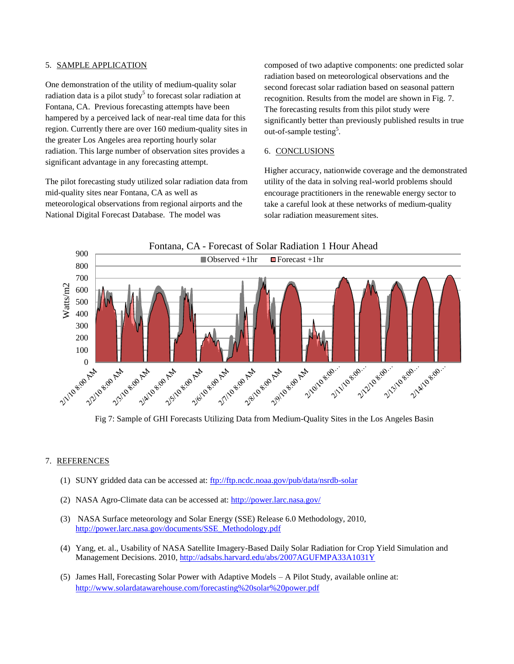### 5. SAMPLE APPLICATION

One demonstration of the utility of medium-quality solar radiation data is a pilot study<sup>5</sup> to forecast solar radiation at Fontana, CA. Previous forecasting attempts have been hampered by a perceived lack of near-real time data for this region. Currently there are over 160 medium-quality sites in the greater Los Angeles area reporting hourly solar radiation. This large number of observation sites provides a significant advantage in any forecasting attempt.

The pilot forecasting study utilized solar radiation data from mid-quality sites near Fontana, CA as well as meteorological observations from regional airports and the National Digital Forecast Database. The model was

composed of two adaptive components: one predicted solar radiation based on meteorological observations and the second forecast solar radiation based on seasonal pattern recognition. Results from the model are shown in Fig. 7. The forecasting results from this pilot study were significantly better than previously published results in true out-of-sample testing<sup>5</sup>.

### 6. CONCLUSIONS

Higher accuracy, nationwide coverage and the demonstrated utility of the data in solving real-world problems should encourage practitioners in the renewable energy sector to take a careful look at these networks of medium-quality solar radiation measurement sites.





Fig 7: Sample of GHI Forecasts Utilizing Data from Medium-Quality Sites in the Los Angeles Basin

### 7. REFERENCES

- (1) SUNY gridded data can be accessed at:<ftp://ftp.ncdc.noaa.gov/pub/data/nsrdb-solar>
- (2) NASA Agro-Climate data can be accessed at:<http://power.larc.nasa.gov/>
- (3) NASA Surface meteorology and Solar Energy (SSE) Release 6.0 Methodology, 2010, [http://power.larc.nasa.gov/documents/SSE\\_Methodology.pdf](http://power.larc.nasa.gov/documents/SSE_Methodology.pdf)
- (4) Yang, et. al., Usability of NASA Satellite Imagery-Based Daily Solar Radiation for Crop Yield Simulation and Management Decisions. 2010,<http://adsabs.harvard.edu/abs/2007AGUFMPA33A1031Y>
- (5) James Hall, Forecasting Solar Power with Adaptive Models A Pilot Study, available online at: <http://www.solardatawarehouse.com/forecasting%20solar%20power.pdf>